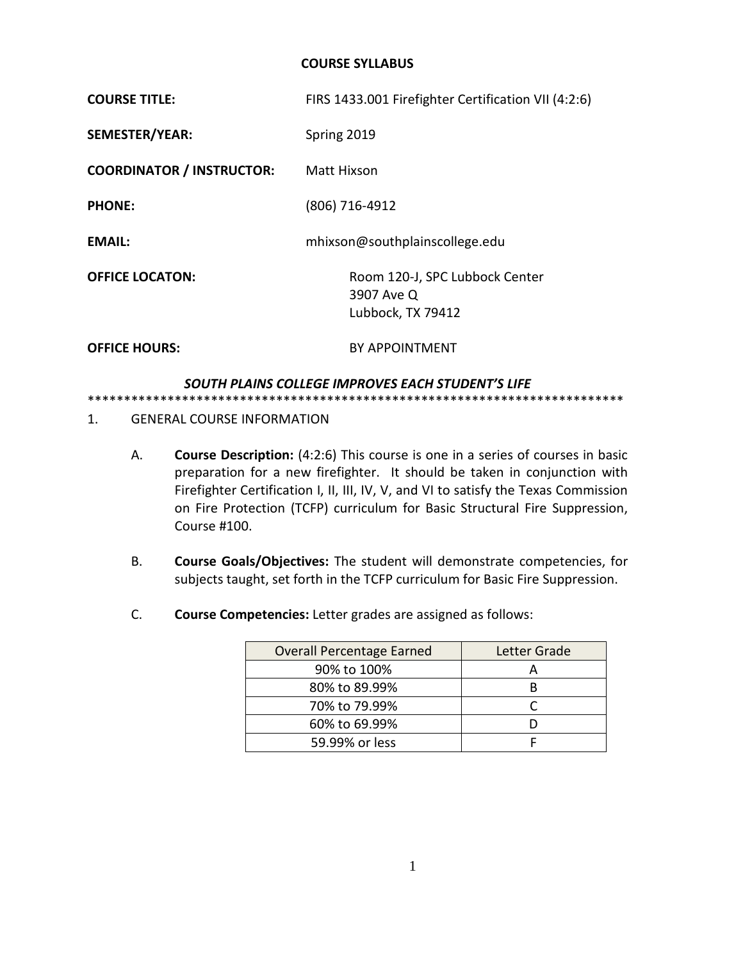#### **COURSE SYLLABUS**

| <b>COURSE TITLE:</b>             | FIRS 1433.001 Firefighter Certification VII (4:2:6)               |  |
|----------------------------------|-------------------------------------------------------------------|--|
| <b>SEMESTER/YEAR:</b>            | Spring 2019                                                       |  |
| <b>COORDINATOR / INSTRUCTOR:</b> | Matt Hixson                                                       |  |
| <b>PHONE:</b>                    | (806) 716-4912                                                    |  |
| <b>EMAIL:</b>                    | mhixson@southplainscollege.edu                                    |  |
| <b>OFFICE LOCATON:</b>           | Room 120-J, SPC Lubbock Center<br>3907 Ave Q<br>Lubbock, TX 79412 |  |
| <b>OFFICE HOURS:</b>             | <b>BY APPOINTMENT</b>                                             |  |

#### *SOUTH PLAINS COLLEGE IMPROVES EACH STUDENT'S LIFE*

\*\*\*\*\*\*\*\*\*\*\*\*\*\*\*\*\*\*\*\*\*\*\*\*\*\*\*\*\*\*\*\*\*\*\*\*\*\*\*\*\*\*\*\*\*\*\*\*\*\*\*\*\*\*\*\*\*\*\*\*\*\*\*\*\*\*\*\*\*\*\*\*\*\*

#### 1. GENERAL COURSE INFORMATION

- A. **Course Description:** (4:2:6) This course is one in a series of courses in basic preparation for a new firefighter. It should be taken in conjunction with Firefighter Certification I, II, III, IV, V, and VI to satisfy the Texas Commission on Fire Protection (TCFP) curriculum for Basic Structural Fire Suppression, Course #100.
- B. **Course Goals/Objectives:** The student will demonstrate competencies, for subjects taught, set forth in the TCFP curriculum for Basic Fire Suppression.
- C. **Course Competencies:** Letter grades are assigned as follows:

| <b>Overall Percentage Earned</b> | Letter Grade |
|----------------------------------|--------------|
| 90% to 100%                      |              |
| 80% to 89.99%                    |              |
| 70% to 79.99%                    |              |
| 60% to 69.99%                    |              |
| 59.99% or less                   |              |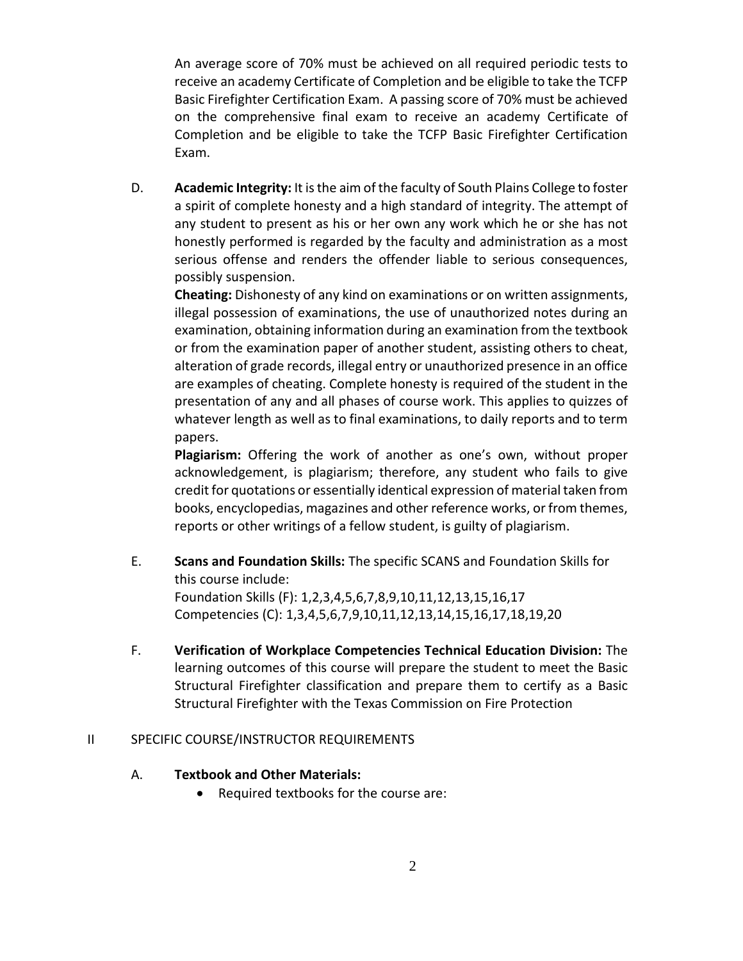An average score of 70% must be achieved on all required periodic tests to receive an academy Certificate of Completion and be eligible to take the TCFP Basic Firefighter Certification Exam. A passing score of 70% must be achieved on the comprehensive final exam to receive an academy Certificate of Completion and be eligible to take the TCFP Basic Firefighter Certification Exam.

D. **Academic Integrity:** It is the aim of the faculty of South Plains College to foster a spirit of complete honesty and a high standard of integrity. The attempt of any student to present as his or her own any work which he or she has not honestly performed is regarded by the faculty and administration as a most serious offense and renders the offender liable to serious consequences, possibly suspension.

**Cheating:** Dishonesty of any kind on examinations or on written assignments, illegal possession of examinations, the use of unauthorized notes during an examination, obtaining information during an examination from the textbook or from the examination paper of another student, assisting others to cheat, alteration of grade records, illegal entry or unauthorized presence in an office are examples of cheating. Complete honesty is required of the student in the presentation of any and all phases of course work. This applies to quizzes of whatever length as well as to final examinations, to daily reports and to term papers.

**Plagiarism:** Offering the work of another as one's own, without proper acknowledgement, is plagiarism; therefore, any student who fails to give credit for quotations or essentially identical expression of material taken from books, encyclopedias, magazines and other reference works, or from themes, reports or other writings of a fellow student, is guilty of plagiarism.

- E. **Scans and Foundation Skills:** The specific SCANS and Foundation Skills for this course include: Foundation Skills (F): 1,2,3,4,5,6,7,8,9,10,11,12,13,15,16,17 Competencies (C): 1,3,4,5,6,7,9,10,11,12,13,14,15,16,17,18,19,20
- F. **Verification of Workplace Competencies Technical Education Division:** The learning outcomes of this course will prepare the student to meet the Basic Structural Firefighter classification and prepare them to certify as a Basic Structural Firefighter with the Texas Commission on Fire Protection

## II SPECIFIC COURSE/INSTRUCTOR REQUIREMENTS

# A. **Textbook and Other Materials:**

• Required textbooks for the course are: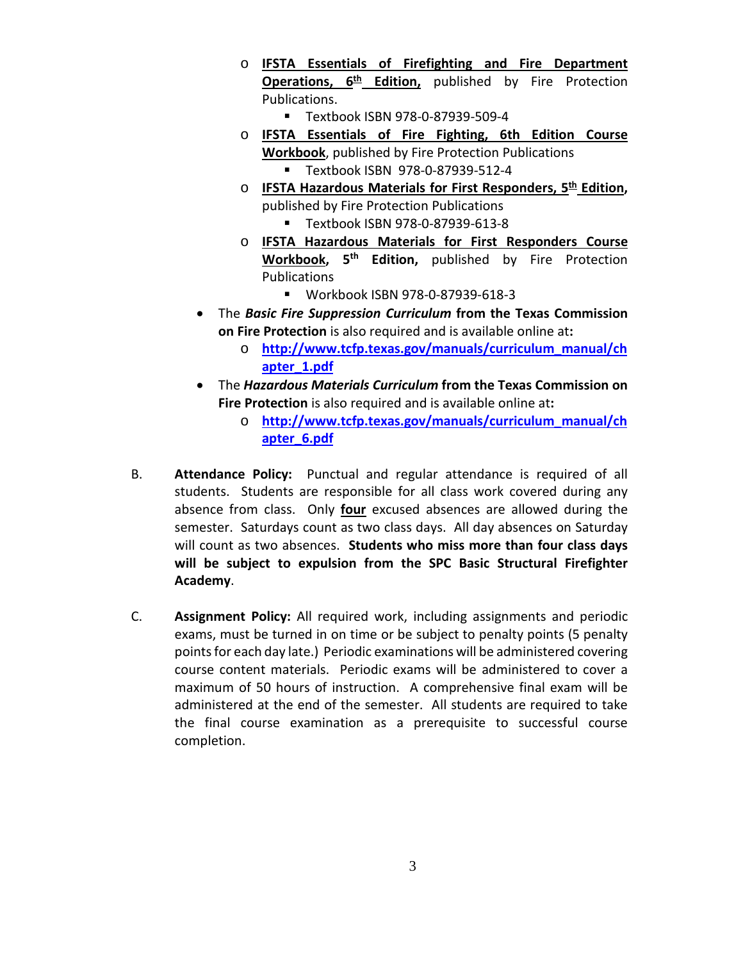- o **IFSTA Essentials of Firefighting and Fire Department Operations, 6th Edition,** published by Fire Protection Publications.
	- Textbook ISBN 978-0-87939-509-4
- o **IFSTA Essentials of Fire Fighting, 6th Edition Course Workbook**, published by Fire Protection Publications
	- Textbook ISBN 978-0-87939-512-4
- o **IFSTA Hazardous Materials for First Responders, 5th Edition,**  published by Fire Protection Publications
	- Textbook ISBN 978-0-87939-613-8
- o **IFSTA Hazardous Materials for First Responders Course Workbook, 5th Edition,** published by Fire Protection Publications
	- Workbook ISBN 978-0-87939-618-3
- The *Basic Fire Suppression Curriculum* **from the Texas Commission on Fire Protection** is also required and is available online at**:**
	- o **[http://www.tcfp.texas.gov/manuals/curriculum\\_manual/ch](http://www.tcfp.texas.gov/manuals/curriculum_manual/chapter_1.pdf) [apter\\_1.pdf](http://www.tcfp.texas.gov/manuals/curriculum_manual/chapter_1.pdf)**
- The *Hazardous Materials Curriculum* **from the Texas Commission on Fire Protection** is also required and is available online at**:**
	- o **[http://www.tcfp.texas.gov/manuals/curriculum\\_manual/ch](http://www.tcfp.texas.gov/manuals/curriculum_manual/chapter_6.pdf) [apter\\_6.pdf](http://www.tcfp.texas.gov/manuals/curriculum_manual/chapter_6.pdf)**
- B. **Attendance Policy:** Punctual and regular attendance is required of all students. Students are responsible for all class work covered during any absence from class. Only **four** excused absences are allowed during the semester. Saturdays count as two class days. All day absences on Saturday will count as two absences. **Students who miss more than four class days will be subject to expulsion from the SPC Basic Structural Firefighter Academy**.
- C. **Assignment Policy:** All required work, including assignments and periodic exams, must be turned in on time or be subject to penalty points (5 penalty points for each day late.)Periodic examinations will be administered covering course content materials. Periodic exams will be administered to cover a maximum of 50 hours of instruction. A comprehensive final exam will be administered at the end of the semester. All students are required to take the final course examination as a prerequisite to successful course completion.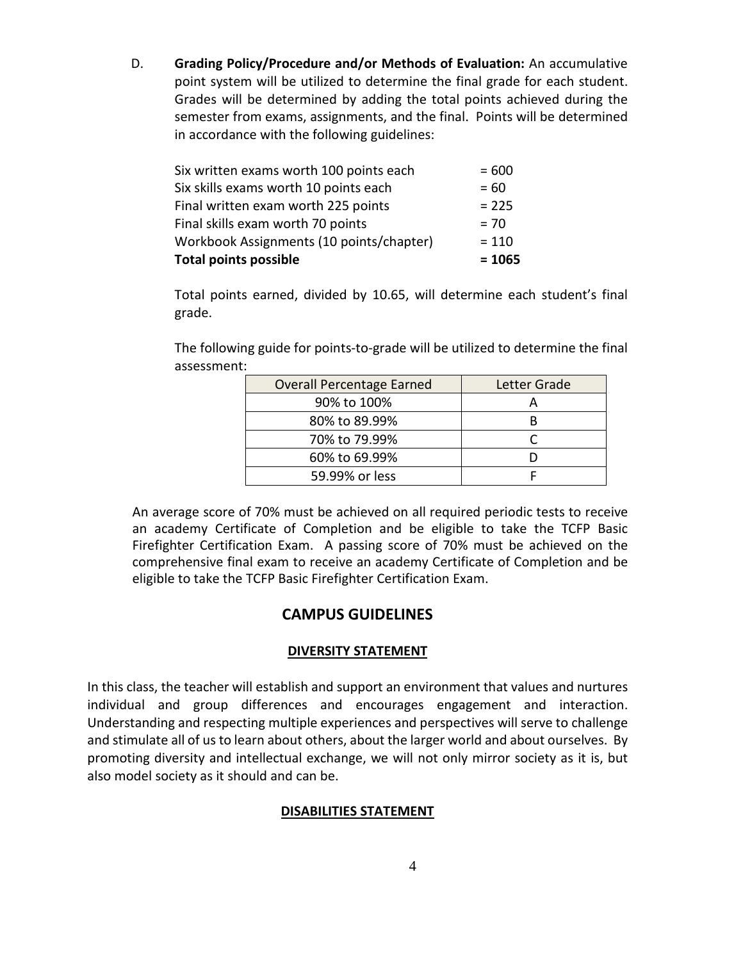D. **Grading Policy/Procedure and/or Methods of Evaluation:** An accumulative point system will be utilized to determine the final grade for each student. Grades will be determined by adding the total points achieved during the semester from exams, assignments, and the final. Points will be determined in accordance with the following guidelines:

| <b>Total points possible</b>             | $= 1065$ |
|------------------------------------------|----------|
| Workbook Assignments (10 points/chapter) | $= 110$  |
| Final skills exam worth 70 points        | $= 70$   |
| Final written exam worth 225 points      | $= 225$  |
| Six skills exams worth 10 points each    | $= 60$   |
| Six written exams worth 100 points each  | $= 600$  |

Total points earned, divided by 10.65, will determine each student's final grade.

The following guide for points-to-grade will be utilized to determine the final assessment:

| <b>Overall Percentage Earned</b> | Letter Grade |
|----------------------------------|--------------|
| 90% to 100%                      |              |
| 80% to 89.99%                    |              |
| 70% to 79.99%                    |              |
| 60% to 69.99%                    |              |
| 59.99% or less                   |              |

An average score of 70% must be achieved on all required periodic tests to receive an academy Certificate of Completion and be eligible to take the TCFP Basic Firefighter Certification Exam. A passing score of 70% must be achieved on the comprehensive final exam to receive an academy Certificate of Completion and be eligible to take the TCFP Basic Firefighter Certification Exam.

# **CAMPUS GUIDELINES**

## **DIVERSITY STATEMENT**

In this class, the teacher will establish and support an environment that values and nurtures individual and group differences and encourages engagement and interaction. Understanding and respecting multiple experiences and perspectives will serve to challenge and stimulate all of us to learn about others, about the larger world and about ourselves. By promoting diversity and intellectual exchange, we will not only mirror society as it is, but also model society as it should and can be.

## **DISABILITIES STATEMENT**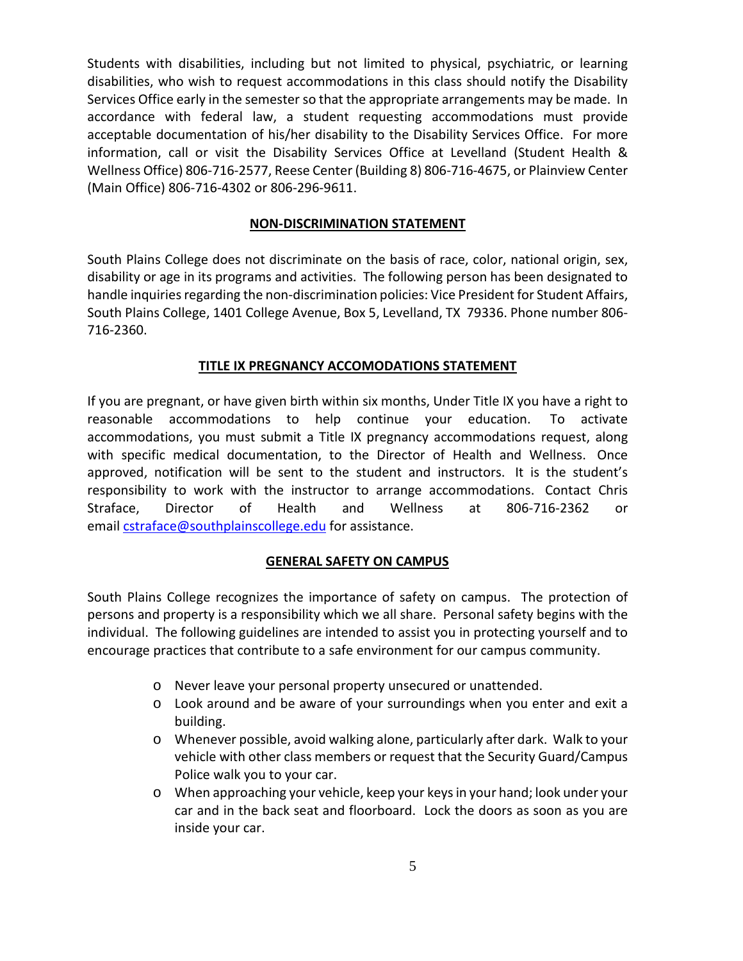Students with disabilities, including but not limited to physical, psychiatric, or learning disabilities, who wish to request accommodations in this class should notify the Disability Services Office early in the semester so that the appropriate arrangements may be made. In accordance with federal law, a student requesting accommodations must provide acceptable documentation of his/her disability to the Disability Services Office. For more information, call or visit the Disability Services Office at Levelland (Student Health & Wellness Office) 806-716-2577, Reese Center (Building 8) 806-716-4675, or Plainview Center (Main Office) 806-716-4302 or 806-296-9611.

## **NON-DISCRIMINATION STATEMENT**

South Plains College does not discriminate on the basis of race, color, national origin, sex, disability or age in its programs and activities. The following person has been designated to handle inquiries regarding the non-discrimination policies: Vice President for Student Affairs, South Plains College, 1401 College Avenue, Box 5, Levelland, TX 79336. Phone number 806- 716-2360.

## **TITLE IX PREGNANCY ACCOMODATIONS STATEMENT**

If you are pregnant, or have given birth within six months, Under Title IX you have a right to reasonable accommodations to help continue your education. To activate accommodations, you must submit a Title IX pregnancy accommodations request, along with specific medical documentation, to the Director of Health and Wellness. Once approved, notification will be sent to the student and instructors. It is the student's responsibility to work with the instructor to arrange accommodations. Contact Chris Straface, Director of Health and Wellness at 806-716-2362 or email [cstraface@southplainscollege.edu](mailto:cstraface@southplainscollege.edu) for assistance.

## **GENERAL SAFETY ON CAMPUS**

South Plains College recognizes the importance of safety on campus. The protection of persons and property is a responsibility which we all share. Personal safety begins with the individual. The following guidelines are intended to assist you in protecting yourself and to encourage practices that contribute to a safe environment for our campus community.

- o Never leave your personal property unsecured or unattended.
- o Look around and be aware of your surroundings when you enter and exit a building.
- o Whenever possible, avoid walking alone, particularly after dark. Walk to your vehicle with other class members or request that the Security Guard/Campus Police walk you to your car.
- o When approaching your vehicle, keep your keys in your hand; look under your car and in the back seat and floorboard. Lock the doors as soon as you are inside your car.